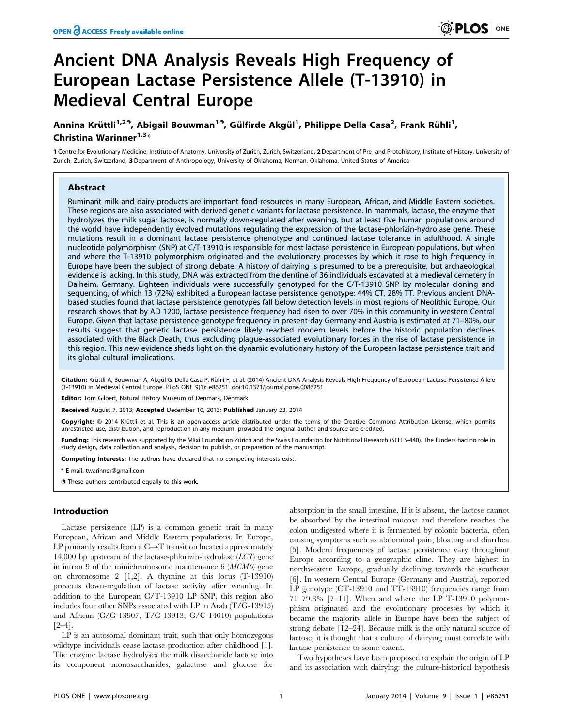# Ancient DNA Analysis Reveals High Frequency of European Lactase Persistence Allele (T-13910) in Medieval Central Europe

## Annina Krüttli<sup>1,29</sup>, Abigail Bouwman<sup>19</sup>, Gülfirde Akgül<sup>1</sup>, Philippe Della Casa<sup>2</sup>, Frank Rühli<sup>1</sup>, Christina Warinner $1.3*$

1 Centre for Evolutionary Medicine, Institute of Anatomy, University of Zurich, Zurich, Switzerland, 2 Department of Pre- and Protohistory, Institute of History, University of Zurich, Zurich, Switzerland, 3 Department of Anthropology, University of Oklahoma, Norman, Oklahoma, United States of America

## Abstract

Ruminant milk and dairy products are important food resources in many European, African, and Middle Eastern societies. These regions are also associated with derived genetic variants for lactase persistence. In mammals, lactase, the enzyme that hydrolyzes the milk sugar lactose, is normally down-regulated after weaning, but at least five human populations around the world have independently evolved mutations regulating the expression of the lactase-phlorizin-hydrolase gene. These mutations result in a dominant lactase persistence phenotype and continued lactase tolerance in adulthood. A single nucleotide polymorphism (SNP) at C/T-13910 is responsible for most lactase persistence in European populations, but when and where the T-13910 polymorphism originated and the evolutionary processes by which it rose to high frequency in Europe have been the subject of strong debate. A history of dairying is presumed to be a prerequisite, but archaeological evidence is lacking. In this study, DNA was extracted from the dentine of 36 individuals excavated at a medieval cemetery in Dalheim, Germany. Eighteen individuals were successfully genotyped for the C/T-13910 SNP by molecular cloning and sequencing, of which 13 (72%) exhibited a European lactase persistence genotype: 44% CT, 28% TT. Previous ancient DNAbased studies found that lactase persistence genotypes fall below detection levels in most regions of Neolithic Europe. Our research shows that by AD 1200, lactase persistence frequency had risen to over 70% in this community in western Central Europe. Given that lactase persistence genotype frequency in present-day Germany and Austria is estimated at 71–80%, our results suggest that genetic lactase persistence likely reached modern levels before the historic population declines associated with the Black Death, thus excluding plague-associated evolutionary forces in the rise of lactase persistence in this region. This new evidence sheds light on the dynamic evolutionary history of the European lactase persistence trait and its global cultural implications.

Citation: Krüttli A, Bouwman A, Akgül G, Della Casa P, Rühli F, et al. (2014) Ancient DNA Analysis Reveals High Frequency of European Lactase Persistence Allele (T-13910) in Medieval Central Europe. PLoS ONE 9(1): e86251. doi:10.1371/journal.pone.0086251

Editor: Tom Gilbert, Natural History Museum of Denmark, Denmark

Received August 7, 2013; Accepted December 10, 2013; Published January 23, 2014

Copyright: © 2014 Krüttli et al. This is an open-access article distributed under the terms of the Creative Commons Attribution License, which permits unrestricted use, distribution, and reproduction in any medium, provided the original author and source are credited.

Funding: This research was supported by the Mäxi Foundation Zürich and the Swiss Foundation for Nutritional Research (SFEFS-440). The funders had no role in study design, data collection and analysis, decision to publish, or preparation of the manuscript.

Competing Interests: The authors have declared that no competing interests exist.

\* E-mail: twarinner@gmail.com

**.** These authors contributed equally to this work.

## Introduction

Lactase persistence (LP) is a common genetic trait in many European, African and Middle Eastern populations. In Europe, LP primarily results from a  $C \rightarrow T$  transition located approximately 14,000 bp upstream of the lactase-phlorizin-hydrolase (LCT) gene in intron 9 of the minichromosome maintenance 6 (MCM6) gene on chromosome 2 [1,2]. A thymine at this locus (T-13910) prevents down-regulation of lactase activity after weaning. In addition to the European C/T-13910 LP SNP, this region also includes four other SNPs associated with LP in Arab (T/G-13915) and African (C/G-13907, T/C-13913, G/C-14010) populations [2–4].

LP is an autosomal dominant trait, such that only homozygous wildtype individuals cease lactase production after childhood [1]. The enzyme lactase hydrolyses the milk disaccharide lactose into its component monosaccharides, galactose and glucose for

absorption in the small intestine. If it is absent, the lactose cannot be absorbed by the intestinal mucosa and therefore reaches the colon undigested where it is fermented by colonic bacteria, often causing symptoms such as abdominal pain, bloating and diarrhea [5]. Modern frequencies of lactase persistence vary throughout Europe according to a geographic cline. They are highest in northwestern Europe, gradually declining towards the southeast [6]. In western Central Europe (Germany and Austria), reported LP genotype (CT-13910 and TT-13910) frequencies range from 71–79.8% [7–11]. When and where the LP T-13910 polymorphism originated and the evolutionary processes by which it became the majority allele in Europe have been the subject of strong debate [12–24]. Because milk is the only natural source of lactose, it is thought that a culture of dairying must correlate with lactase persistence to some extent.

Two hypotheses have been proposed to explain the origin of LP and its association with dairying: the culture-historical hypothesis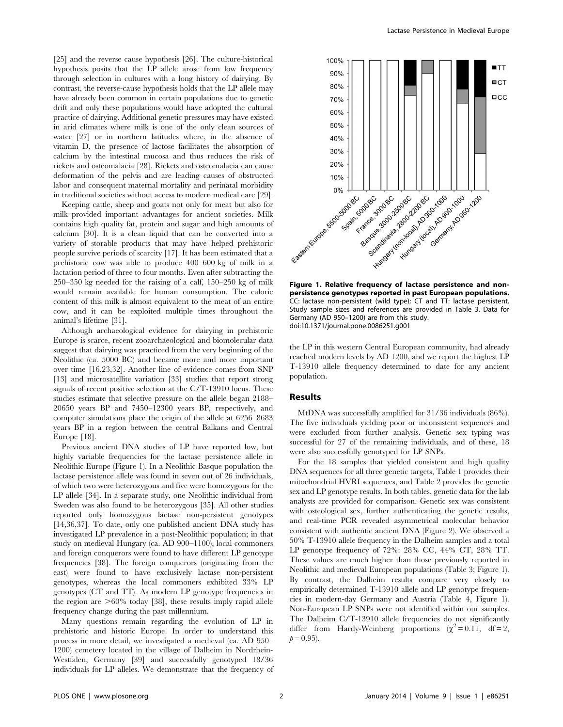[25] and the reverse cause hypothesis [26]. The culture-historical hypothesis posits that the LP allele arose from low frequency through selection in cultures with a long history of dairying. By contrast, the reverse-cause hypothesis holds that the LP allele may have already been common in certain populations due to genetic drift and only these populations would have adopted the cultural practice of dairying. Additional genetic pressures may have existed in arid climates where milk is one of the only clean sources of water [27] or in northern latitudes where, in the absence of vitamin D, the presence of lactose facilitates the absorption of calcium by the intestinal mucosa and thus reduces the risk of rickets and osteomalacia [28]. Rickets and osteomalacia can cause deformation of the pelvis and are leading causes of obstructed labor and consequent maternal mortality and perinatal morbidity in traditional societies without access to modern medical care [29].

Keeping cattle, sheep and goats not only for meat but also for milk provided important advantages for ancient societies. Milk contains high quality fat, protein and sugar and high amounts of calcium [30]. It is a clean liquid that can be converted into a variety of storable products that may have helped prehistoric people survive periods of scarcity [17]. It has been estimated that a prehistoric cow was able to produce 400–600 kg of milk in a lactation period of three to four months. Even after subtracting the 250–350 kg needed for the raising of a calf, 150–250 kg of milk would remain available for human consumption. The caloric content of this milk is almost equivalent to the meat of an entire cow, and it can be exploited multiple times throughout the animal's lifetime [31].

Although archaeological evidence for dairying in prehistoric Europe is scarce, recent zooarchaeological and biomolecular data suggest that dairying was practiced from the very beginning of the Neolithic (ca. 5000 BC) and became more and more important over time [16,23,32]. Another line of evidence comes from SNP [13] and microsatellite variation [33] studies that report strong signals of recent positive selection at the C/T-13910 locus. These studies estimate that selective pressure on the allele began 2188– 20650 years BP and 7450–12300 years BP, respectively, and computer simulations place the origin of the allele at 6256–8683 years BP in a region between the central Balkans and Central Europe [18].

Previous ancient DNA studies of LP have reported low, but highly variable frequencies for the lactase persistence allele in Neolithic Europe (Figure 1). In a Neolithic Basque population the lactase persistence allele was found in seven out of 26 individuals, of which two were heterozygous and five were homozygous for the LP allele [34]. In a separate study, one Neolithic individual from Sweden was also found to be heterozygous [35]. All other studies reported only homozygous lactase non-persistent genotypes [14,36,37]. To date, only one published ancient DNA study has investigated LP prevalence in a post-Neolithic population; in that study on medieval Hungary (ca. AD 900–1100), local commoners and foreign conquerors were found to have different LP genotype frequencies [38]. The foreign conquerors (originating from the east) were found to have exclusively lactase non-persistent genotypes, whereas the local commoners exhibited 33% LP genotypes (CT and TT). As modern LP genotype frequencies in the region are  $>60\%$  today [38], these results imply rapid allele frequency change during the past millennium.

Many questions remain regarding the evolution of LP in prehistoric and historic Europe. In order to understand this process in more detail, we investigated a medieval (ca. AD 950– 1200) cemetery located in the village of Dalheim in Nordrhein-Westfalen, Germany [39] and successfully genotyped 18/36 individuals for LP alleles. We demonstrate that the frequency of



Figure 1. Relative frequency of lactase persistence and nonpersistence genotypes reported in past European populations. CC: lactase non-persistent (wild type); CT and TT: lactase persistent. Study sample sizes and references are provided in Table 3. Data for Germany (AD 950–1200) are from this study. doi:10.1371/journal.pone.0086251.g001

the LP in this western Central European community, had already reached modern levels by AD 1200, and we report the highest LP T-13910 allele frequency determined to date for any ancient population.

## Results

MtDNA was successfully amplified for 31/36 individuals (86%). The five individuals yielding poor or inconsistent sequences and were excluded from further analysis. Genetic sex typing was successful for 27 of the remaining individuals, and of these, 18 were also successfully genotyped for LP SNPs.

For the 18 samples that yielded consistent and high quality DNA sequences for all three genetic targets, Table 1 provides their mitochondrial HVRI sequences, and Table 2 provides the genetic sex and LP genotype results. In both tables, genetic data for the lab analysts are provided for comparison. Genetic sex was consistent with osteological sex, further authenticating the genetic results, and real-time PCR revealed asymmetrical molecular behavior consistent with authentic ancient DNA (Figure 2). We observed a 50% T-13910 allele frequency in the Dalheim samples and a total LP genotype frequency of 72%: 28% CC, 44% CT, 28% TT. These values are much higher than those previously reported in Neolithic and medieval European populations (Table 3; Figure 1). By contrast, the Dalheim results compare very closely to empirically determined T-13910 allele and LP genotype frequencies in modern-day Germany and Austria (Table 4, Figure 1). Non-European LP SNPs were not identified within our samples. The Dalheim C/T-13910 allele frequencies do not significantly differ from Hardy-Weinberg proportions  $(\chi^2=0.11, df=2,$  $p = 0.95$ ).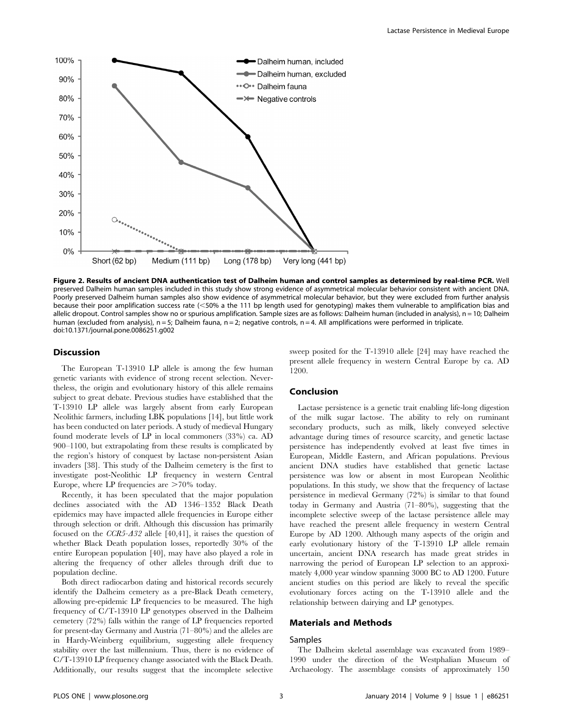

Figure 2. Results of ancient DNA authentication test of Dalheim human and control samples as determined by real-time PCR. Well preserved Dalheim human samples included in this study show strong evidence of asymmetrical molecular behavior consistent with ancient DNA. Poorly preserved Dalheim human samples also show evidence of asymmetrical molecular behavior, but they were excluded from further analysis because their poor amplification success rate (<50% a the 111 bp length used for genotyping) makes them vulnerable to amplification bias and allelic dropout. Control samples show no or spurious amplification. Sample sizes are as follows: Dalheim human (included in analysis), n = 10; Dalheim human (excluded from analysis),  $n = 5$ ; Dalheim fauna,  $n = 2$ ; negative controls,  $n = 4$ . All amplifications were performed in triplicate. doi:10.1371/journal.pone.0086251.g002

## **Discussion**

The European T-13910 LP allele is among the few human genetic variants with evidence of strong recent selection. Nevertheless, the origin and evolutionary history of this allele remains subject to great debate. Previous studies have established that the T-13910 LP allele was largely absent from early European Neolithic farmers, including LBK populations [14], but little work has been conducted on later periods. A study of medieval Hungary found moderate levels of LP in local commoners (33%) ca. AD 900–1100, but extrapolating from these results is complicated by the region's history of conquest by lactase non-persistent Asian invaders [38]. This study of the Dalheim cemetery is the first to investigate post-Neolithic LP frequency in western Central Europe, where LP frequencies are  $>70\%$  today.

Recently, it has been speculated that the major population declines associated with the AD 1346–1352 Black Death epidemics may have impacted allele frequencies in Europe either through selection or drift. Although this discussion has primarily focused on the  $CCR5-432$  allele [40,41], it raises the question of whether Black Death population losses, reportedly 30% of the entire European population [40], may have also played a role in altering the frequency of other alleles through drift due to population decline.

Both direct radiocarbon dating and historical records securely identify the Dalheim cemetery as a pre-Black Death cemetery, allowing pre-epidemic LP frequencies to be measured. The high frequency of C/T-13910 LP genotypes observed in the Dalheim cemetery (72%) falls within the range of LP frequencies reported for present-day Germany and Austria (71–80%) and the alleles are in Hardy-Weinberg equilibrium, suggesting allele frequency stability over the last millennium. Thus, there is no evidence of C/T-13910 LP frequency change associated with the Black Death. Additionally, our results suggest that the incomplete selective sweep posited for the T-13910 allele [24] may have reached the present allele frequency in western Central Europe by ca. AD 1200.

## Conclusion

Lactase persistence is a genetic trait enabling life-long digestion of the milk sugar lactose. The ability to rely on ruminant secondary products, such as milk, likely conveyed selective advantage during times of resource scarcity, and genetic lactase persistence has independently evolved at least five times in European, Middle Eastern, and African populations. Previous ancient DNA studies have established that genetic lactase persistence was low or absent in most European Neolithic populations. In this study, we show that the frequency of lactase persistence in medieval Germany (72%) is similar to that found today in Germany and Austria (71–80%), suggesting that the incomplete selective sweep of the lactase persistence allele may have reached the present allele frequency in western Central Europe by AD 1200. Although many aspects of the origin and early evolutionary history of the T-13910 LP allele remain uncertain, ancient DNA research has made great strides in narrowing the period of European LP selection to an approximately 4,000 year window spanning 3000 BC to AD 1200. Future ancient studies on this period are likely to reveal the specific evolutionary forces acting on the T-13910 allele and the relationship between dairying and LP genotypes.

## Materials and Methods

## Samples

The Dalheim skeletal assemblage was excavated from 1989– 1990 under the direction of the Westphalian Museum of Archaeology. The assemblage consists of approximately 150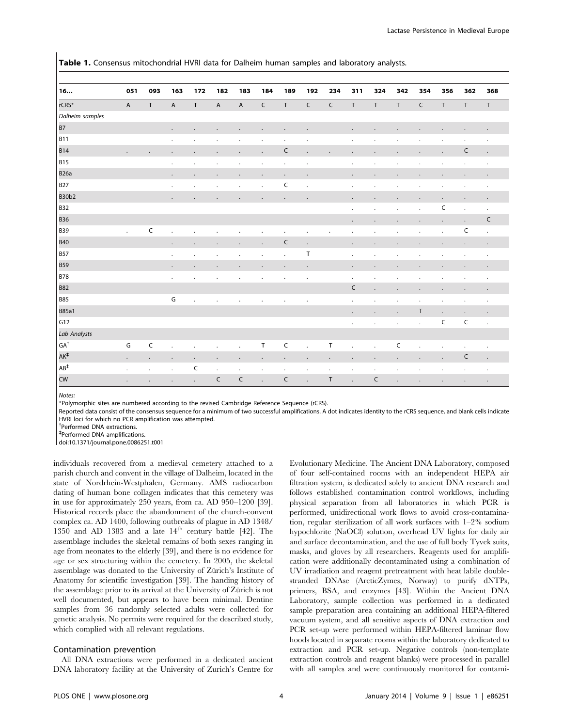| Table 1. Consensus mitochondrial HVRI data for Dalheim human samples and laboratory analysts. |  |  |  |  |  |  |
|-----------------------------------------------------------------------------------------------|--|--|--|--|--|--|
|-----------------------------------------------------------------------------------------------|--|--|--|--|--|--|

| 16                           | 051                  | 093                  | 163                  | 172         | 182                  | 183                  | 184                  | 189                  | 192         | 234            | 311                  | 324                  | 342            | 354                  | 356         | 362                  | 368                  |
|------------------------------|----------------------|----------------------|----------------------|-------------|----------------------|----------------------|----------------------|----------------------|-------------|----------------|----------------------|----------------------|----------------|----------------------|-------------|----------------------|----------------------|
|                              |                      |                      |                      |             |                      |                      |                      |                      |             |                |                      |                      |                |                      |             |                      |                      |
| rCRS*                        | $\overline{A}$       | $\top$               | $\overline{A}$       | $\mathsf T$ | $\overline{A}$       | $\sf A$              | $\mathsf C$          | $\top$               | $\mathsf C$ | $\mathsf C$    | $\top$               | $\mathsf T$          | $\top$         | $\mathsf C$          | $\sf T$     | $\mathsf T$          | $\top$               |
| Dalheim samples              |                      |                      |                      |             |                      |                      |                      |                      |             |                |                      |                      |                |                      |             |                      |                      |
| B7                           |                      |                      | $\mathbf{r}$         |             |                      |                      | $\ddot{\phantom{a}}$ |                      |             |                | ÷.                   |                      |                |                      |             |                      | ä.                   |
| <b>B11</b>                   |                      |                      | $\lambda$            |             |                      |                      |                      |                      |             |                |                      |                      |                |                      |             |                      | $\ddot{\phantom{0}}$ |
| <b>B14</b>                   | $\ddot{\phantom{a}}$ |                      |                      |             |                      |                      | $\ddot{\phantom{a}}$ | C                    |             |                |                      |                      |                |                      |             | $\mathsf C$          | ä,                   |
| <b>B15</b>                   |                      |                      | $\bullet$            |             | $\cdot$              |                      |                      |                      | $\cdot$     |                |                      | $\ddot{\phantom{a}}$ |                |                      |             |                      | $\ddot{\phantom{a}}$ |
| <b>B26a</b>                  |                      |                      | $\cdot$              |             |                      |                      | $\cdot$              |                      |             |                | $\ddot{\phantom{0}}$ |                      |                |                      |             |                      |                      |
| <b>B27</b>                   |                      |                      | $\cdot$              |             |                      | $\cdot$              | $\blacksquare$       | C                    | $\cdot$     |                | $\ddot{\phantom{a}}$ | $\cdot$              |                |                      | $\cdot$     | $\cdot$              | $\bullet$            |
| <b>B30b2</b>                 |                      |                      |                      |             |                      |                      | $\blacksquare$       | $\cdot$              |             |                |                      |                      |                |                      |             |                      |                      |
| <b>B32</b>                   |                      |                      |                      |             |                      |                      |                      |                      |             |                | $\ddot{\phantom{a}}$ | $\ddot{\phantom{a}}$ |                |                      | $\mathsf C$ | $\ddot{\phantom{a}}$ | $\blacksquare$       |
| <b>B36</b>                   |                      |                      |                      |             |                      |                      |                      |                      |             |                | $\ddot{\phantom{0}}$ |                      |                |                      | $\cdot$     | $\ddot{\phantom{a}}$ | C                    |
| <b>B39</b>                   | $\mathcal{L}$        | $\mathsf C$          | $\ddot{\phantom{a}}$ |             |                      |                      | $\cdot$              | $\ddot{\phantom{a}}$ | $\bullet$   |                |                      |                      |                |                      |             | C                    | ä,                   |
| <b>B40</b>                   |                      |                      | $\ddot{\phantom{a}}$ |             |                      |                      | $\ddot{\phantom{0}}$ | C                    |             |                |                      |                      |                |                      |             |                      |                      |
| <b>B57</b>                   |                      |                      | $\cdot$              |             |                      | $\ddot{\phantom{0}}$ | $\ddot{\phantom{0}}$ |                      | $\sf T$     |                |                      |                      |                |                      |             |                      | $\blacksquare$       |
| <b>B59</b>                   |                      |                      | $\cdot$              |             | $\cdot$              |                      | $\cdot$              |                      |             |                | $\ddot{\phantom{0}}$ |                      |                |                      |             |                      |                      |
| <b>B78</b>                   |                      |                      | $\blacksquare$       | $\bullet$   | $\cdot$              | $\cdot$              | $\cdot$              | $\cdot$              | $\bullet$   |                | $\ddot{\phantom{0}}$ | $\bullet$            |                | $\cdot$              |             | $\cdot$              | $\blacksquare$       |
| <b>B82</b>                   |                      |                      |                      |             |                      |                      |                      |                      |             |                | C                    |                      |                |                      |             |                      |                      |
| <b>B85</b>                   |                      |                      | G                    | $\cdot$     | $\ddot{\phantom{a}}$ | $\ddot{\phantom{a}}$ | $\bullet$            | $\bullet$            | $\cdot$     |                | $\ddot{\phantom{0}}$ | ä,                   |                | $\cdot$              |             | $\cdot$              | $\cdot$              |
| <b>B85a1</b>                 |                      |                      |                      |             |                      |                      |                      |                      |             |                | $\cdot$              | $\bullet$            |                | $\sf T$              | $\cdot$     | $\cdot$              | $\blacksquare$       |
| G12                          |                      |                      |                      |             |                      |                      |                      |                      |             |                | $\ddot{\phantom{0}}$ | $\bullet$            | $\blacksquare$ | $\blacksquare$       | $\mathsf C$ | $\mathsf C$          | $\ddot{\phantom{a}}$ |
| Lab Analysts                 |                      |                      |                      |             |                      |                      |                      |                      |             |                |                      |                      |                |                      |             |                      |                      |
| $\mathsf{GA}^\dagger$        | G                    | $\mathsf C$          |                      |             |                      |                      | T                    | C                    |             | T              |                      | ä,                   | C              | $\ddot{\phantom{a}}$ | J.          | $\cdot$              | $\ddot{\phantom{a}}$ |
| $\mathsf{AK}^\ddag$          | $\blacksquare$       | $\blacksquare$       | $\cdot$              |             | $\cdot$              | $\cdot$              | $\blacksquare$       |                      |             | $\cdot$        |                      | $\cdot$              |                |                      | $\cdot$     | $\mathsf C$          | $\ddot{\phantom{0}}$ |
| $\mathsf{A}\mathsf{B}^\ddag$ | $\blacksquare$       | $\ddot{\phantom{a}}$ | $\cdot$              | C           | $\cdot$              | $\blacksquare$       | $\ddot{\phantom{0}}$ | $\mathbf{r}$         | $\bullet$   | $\blacksquare$ | $\cdot$              | $\blacksquare$       |                |                      |             | $\cdot$              | $\blacksquare$       |
| <b>CW</b>                    |                      |                      |                      |             | $\mathsf C$          | C                    |                      | $\mathsf C$          |             | T              |                      | C                    |                |                      |             |                      |                      |

Notes:

\*Polymorphic sites are numbered according to the revised Cambridge Reference Sequence (rCRS).

Reported data consist of the consensus sequence for a minimum of two successful amplifications. A dot indicates identity to the rCRS sequence, and blank cells indicate HVRI loci for which no PCR amplification was attempted.

{ Performed DNA extractions.

` Performed DNA amplifications.

doi:10.1371/journal.pone.0086251.t001

individuals recovered from a medieval cemetery attached to a parish church and convent in the village of Dalheim, located in the state of Nordrhein-Westphalen, Germany. AMS radiocarbon dating of human bone collagen indicates that this cemetery was in use for approximately 250 years, from ca. AD 950–1200 [39]. Historical records place the abandonment of the church-convent complex ca. AD 1400, following outbreaks of plague in AD 1348/ 1350 and AD 1383 and a late 14th century battle [42]. The assemblage includes the skeletal remains of both sexes ranging in age from neonates to the elderly [39], and there is no evidence for age or sex structuring within the cemetery. In 2005, the skeletal assemblage was donated to the University of Zürich's Institute of Anatomy for scientific investigation [39]. The handing history of the assemblage prior to its arrival at the University of Zürich is not well documented, but appears to have been minimal. Dentine samples from 36 randomly selected adults were collected for genetic analysis. No permits were required for the described study, which complied with all relevant regulations.

## Contamination prevention

All DNA extractions were performed in a dedicated ancient DNA laboratory facility at the University of Zurich's Centre for

Evolutionary Medicine. The Ancient DNA Laboratory, composed of four self-contained rooms with an independent HEPA air filtration system, is dedicated solely to ancient DNA research and follows established contamination control workflows, including physical separation from all laboratories in which PCR is performed, unidirectional work flows to avoid cross-contamination, regular sterilization of all work surfaces with 1–2% sodium hypochlorite (NaOCl) solution, overhead UV lights for daily air and surface decontamination, and the use of full body Tyvek suits, masks, and gloves by all researchers. Reagents used for amplification were additionally decontaminated using a combination of UV irradiation and reagent pretreatment with heat labile doublestranded DNAse (ArcticZymes, Norway) to purify dNTPs, primers, BSA, and enzymes [43]. Within the Ancient DNA Laboratory, sample collection was performed in a dedicated sample preparation area containing an additional HEPA-filtered vacuum system, and all sensitive aspects of DNA extraction and PCR set-up were performed within HEPA-filtered laminar flow hoods located in separate rooms within the laboratory dedicated to extraction and PCR set-up. Negative controls (non-template extraction controls and reagent blanks) were processed in parallel with all samples and were continuously monitored for contami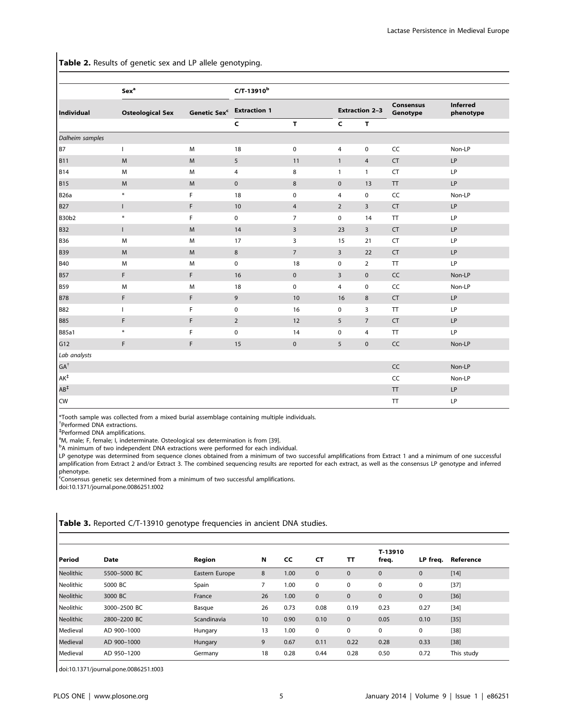Table 2. Results of genetic sex and LP allele genotyping.

|                              | <b>Sex<sup>a</sup></b>  | C/T-13910 <sup>b</sup>    |                 |                |                       |                       |                       |           |  |
|------------------------------|-------------------------|---------------------------|-----------------|----------------|-----------------------|-----------------------|-----------------------|-----------|--|
| Individual                   | <b>Osteological Sex</b> | Genetic Sexc Extraction 1 |                 |                | <b>Extraction 2-3</b> | Consensus<br>Genotype | Inferred<br>phenotype |           |  |
|                              |                         |                           | $\mathsf{C}$    | T.             | $\mathsf{C}$          | $\mathbf{T}$          |                       |           |  |
| Dalheim samples              |                         |                           |                 |                |                       |                       |                       |           |  |
| <b>B7</b>                    | $\mathbf{L}$            | M                         | 18              | $\mathsf 0$    | $\overline{4}$        | 0                     | CC                    | Non-LP    |  |
| <b>B11</b>                   | M                       | M                         | $5\phantom{.0}$ | 11             | $\mathbf{1}$          | $\overline{4}$        | <b>CT</b>             | LP        |  |
| <b>B14</b>                   | M                       | M                         | 4               | 8              | $\mathbf{1}$          | $\mathbf{1}$          | <b>CT</b>             | LP        |  |
| <b>B15</b>                   | M                       | ${\sf M}$                 | $\mathbf 0$     | 8              | $\mathbf 0$           | 13                    | ${\sf TT}$            | LP        |  |
| <b>B26a</b>                  | $\ast$                  | F                         | 18              | $\mathbf 0$    | 4                     | 0                     | CC                    | Non-LP    |  |
| <b>B27</b>                   | $\mathsf{L}$            | F                         | 10              | $\overline{4}$ | $\overline{2}$        | $\overline{3}$        | <b>CT</b>             | LP        |  |
| <b>B30b2</b>                 | $\ast$                  | F                         | 0               | $\overline{7}$ | $\mathbf 0$           | 14                    | TT                    | LP        |  |
| <b>B32</b>                   | $\mathsf{L}$            | M                         | 14              | $\overline{3}$ | 23                    | $\overline{3}$        | CT                    | LP        |  |
| <b>B36</b>                   | M                       | M                         | 17              | 3              | 15                    | 21                    | CT                    | LP        |  |
| <b>B39</b>                   | M                       | M                         | 8               | $\overline{7}$ | 3                     | 22                    | <b>CT</b>             | LP        |  |
| <b>B40</b>                   | M                       | M                         | $\pmb{0}$       | 18             | $\mathbf 0$           | $\overline{2}$        | TT                    | LP        |  |
| <b>B57</b>                   | F                       | F                         | 16              | $\mathbf 0$    | 3                     | $\mathbf 0$           | CC                    | Non-LP    |  |
| <b>B59</b>                   | M                       | M                         | 18              | $\mathsf 0$    | $\overline{4}$        | 0                     | CC                    | Non-LP    |  |
| <b>B78</b>                   | F                       | F                         | 9               | 10             | 16                    | 8                     | <b>CT</b>             | LP        |  |
| <b>B82</b>                   | $\mathsf{L}$            | F                         | $\mathbf 0$     | 16             | 0                     | 3                     | TT                    | LP        |  |
| <b>B85</b>                   | F.                      | F                         | $\overline{2}$  | 12             | 5                     | $\overline{7}$        | <b>CT</b>             | LP        |  |
| <b>B85a1</b>                 | $\ast$                  | F                         | 0               | 14             | $\mathbf 0$           | 4                     | TT                    | <b>LP</b> |  |
| G12                          | F                       | F                         | 15              | $\mathbf 0$    | 5                     | $\pmb{0}$             | CC                    | Non-LP    |  |
| Lab analysts                 |                         |                           |                 |                |                       |                       |                       |           |  |
| $\mathsf{GA}^\dagger$        |                         |                           |                 |                |                       |                       | CC                    | Non-LP    |  |
| $\mathsf{AK}^\ddag$          |                         |                           |                 |                |                       |                       | CC                    | Non-LP    |  |
| $\mathsf{A}\mathsf{B}^\ddag$ |                         |                           |                 |                |                       |                       | ${\sf TT}$            | LP        |  |
| <b>CW</b>                    |                         |                           |                 |                |                       |                       | ${\sf TT}$            | LP        |  |

\*Tooth sample was collected from a mixed burial assemblage containing multiple individuals.

{ Performed DNA extractions.

` Performed DNA amplifications.

<sup>a</sup>M, male; F, female; I, indeterminate. Osteological sex determination is from [39].

<sup>b</sup>A minimum of two independent DNA extractions were performed for each individual.

LP genotype was determined from sequence clones obtained from a minimum of two successful amplifications from Extract 1 and a minimum of one successful amplification from Extract 2 and/or Extract 3. The combined sequencing results are reported for each extract, as well as the consensus LP genotype and inferred phenotype.

<sup>c</sup>Consensus genetic sex determined from a minimum of two successful amplifications.

doi:10.1371/journal.pone.0086251.t002

## Table 3. Reported C/T-13910 genotype frequencies in ancient DNA studies.

| Period           | Date         | Region         | Ν  | CC   | СT           | TΤ          | T-13910<br>freq. | LP freq.    | Reference  |
|------------------|--------------|----------------|----|------|--------------|-------------|------------------|-------------|------------|
| Neolithic        | 5500-5000 BC | Eastern Europe | 8  | 1.00 | $\mathbf{0}$ | $\mathbf 0$ | $\mathbf{0}$     | $\mathbf 0$ | $[14]$     |
| Neolithic        | 5000 BC      | Spain          | 7  | 1.00 | 0            | 0           | 0                | 0           | $[37]$     |
| <b>Neolithic</b> | 3000 BC      | France         | 26 | 1.00 | $\mathbf{0}$ | $\mathbf 0$ | $\mathbf{0}$     | $\mathbf 0$ | $[36]$     |
| Neolithic        | 3000-2500 BC | Basque         | 26 | 0.73 | 0.08         | 0.19        | 0.23             | 0.27        | $[34]$     |
| <b>Neolithic</b> | 2800-2200 BC | Scandinavia    | 10 | 0.90 | 0.10         | $\mathbf 0$ | 0.05             | 0.10        | $[35]$     |
| Medieval         | AD 900-1000  | Hungary        | 13 | 1.00 | $\mathbf 0$  | 0           | $\mathbf 0$      | 0           | $[38]$     |
| Medieval         | AD 900-1000  | Hungary        | 9  | 0.67 | 0.11         | 0.22        | 0.28             | 0.33        | $[38]$     |
| Medieval         | AD 950-1200  | Germany        | 18 | 0.28 | 0.44         | 0.28        | 0.50             | 0.72        | This study |

doi:10.1371/journal.pone.0086251.t003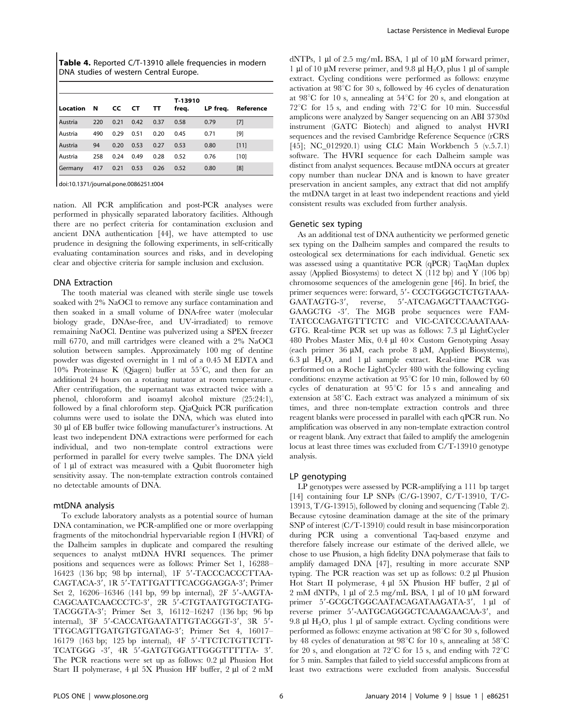| <b>Table 4.</b> Reported C/T-13910 allele frequencies in modern |  |
|-----------------------------------------------------------------|--|
| DNA studies of western Central Europe.                          |  |

| Location | <b>N</b> | CC.  | CT   | TT   | T-13910<br>freq. | LP freq. | Reference |
|----------|----------|------|------|------|------------------|----------|-----------|
| Austria  | 220      | 0.21 | 0.42 | 0.37 | 0.58             | 0.79     | $[7]$     |
| Austria  | 490      | 0.29 | 0.51 | 0.20 | 0.45             | 0.71     | [9]       |
| Austria  | 94       | 0.20 | 0.53 | 0.27 | 0.53             | 0.80     | $[11]$    |
| Austria  | 258      | 0.24 | 0.49 | 0.28 | 0.52             | 0.76     | $[10]$    |
| Germany  | 417      | 0.21 | 0.53 | 0.26 | 0.52             | 0.80     | [8]       |

doi:10.1371/journal.pone.0086251.t004

nation. All PCR amplification and post-PCR analyses were performed in physically separated laboratory facilities. Although there are no perfect criteria for contamination exclusion and ancient DNA authentication [44], we have attempted to use prudence in designing the following experiments, in self-critically evaluating contamination sources and risks, and in developing clear and objective criteria for sample inclusion and exclusion.

## DNA Extraction

The tooth material was cleaned with sterile single use towels soaked with 2% NaOCl to remove any surface contamination and then soaked in a small volume of DNA-free water (molecular biology grade, DNAse-free, and UV-irradiated) to remove remaining NaOCl. Dentine was pulverized using a SPEX freezer mill 6770, and mill cartridges were cleaned with a 2% NaOCl solution between samples. Approximately 100 mg of dentine powder was digested overnight in 1 ml of a 0.45 M EDTA and 10% Proteinase K (Qiagen) buffer at  $55^{\circ}$ C, and then for an additional 24 hours on a rotating nutator at room temperature. After centrifugation, the supernatant was extracted twice with a phenol, chloroform and isoamyl alcohol mixture (25:24:1), followed by a final chloroform step. QiaQuick PCR purification columns were used to isolate the DNA, which was eluted into 30 ml of EB buffer twice following manufacturer's instructions. At least two independent DNA extractions were performed for each individual, and two non-template control extractions were performed in parallel for every twelve samples. The DNA yield of 1 µl of extract was measured with a Qubit fluorometer high sensitivity assay. The non-template extraction controls contained no detectable amounts of DNA.

## mtDNA analysis

To exclude laboratory analysts as a potential source of human DNA contamination, we PCR-amplified one or more overlapping fragments of the mitochondrial hypervariable region I (HVRI) of the Dalheim samples in duplicate and compared the resulting sequences to analyst mtDNA HVRI sequences. The primer positions and sequences were as follows: Primer Set 1, 16288–  $16423$  (136 bp; 98 bp internal), 1F 5'-TACCCACCCTTAA-CAGTACA-3', 1R 5'-TATTGATTTCACGGAGGA-3'; Primer Set 2,  $16206-16346$  (141 bp, 99 bp internal), 2F  $5'$ -AAGTA-CAGCAATCAACCCTC-3', 2R 5'-CTGTAATGTGCTATG-TACGGTA-3'; Primer Set 3, 16112–16247 (136 bp; 96 bp) internal), 3F 5'-CACCATGAATATTGTACGGT-3', 3R 5'-TTGCAGTTGATGTGTGATAG-3'; Primer Set 4, 16017-16179 (163 bp; 125 bp internal), 4F 5'-TTCTCTGTTCTT-TCATGGG -3', 4R 5'-GATGTGGATTGGGTTTTTA- 3'. The PCR reactions were set up as follows:  $0.2 \mu l$  Phusion Hot Start II polymerase, 4 µl 5X Phusion HF buffer, 2 µl of 2 mM

dNTPs, 1  $\mu$ l of 2.5 mg/mL BSA, 1  $\mu$ l of 10  $\mu$ M forward primer, 1  $\mu$ l of 10  $\mu$ M reverse primer, and 9.8  $\mu$ l H<sub>2</sub>O, plus 1  $\mu$ l of sample extract. Cycling conditions were performed as follows: enzyme activation at  $98^{\circ}$ C for 30 s, followed by 46 cycles of denaturation at  $98^{\circ}$ C for 10 s, annealing at  $54^{\circ}$ C for 20 s, and elongation at  $72^{\circ}$ C for 15 s, and ending with  $72^{\circ}$ C for 10 min. Successful amplicons were analyzed by Sanger sequencing on an ABI 3730xl instrument (GATC Biotech) and aligned to analyst HVRI sequences and the revised Cambridge Reference Sequence (rCRS [45]; NC\_012920.1) using CLC Main Workbench 5 (v.5.7.1) software. The HVRI sequence for each Dalheim sample was distinct from analyst sequences. Because mtDNA occurs at greater copy number than nuclear DNA and is known to have greater preservation in ancient samples, any extract that did not amplify the mtDNA target in at least two independent reactions and yield consistent results was excluded from further analysis.

## Genetic sex typing

As an additional test of DNA authenticity we performed genetic sex typing on the Dalheim samples and compared the results to osteological sex determinations for each individual. Genetic sex was assessed using a quantitative PCR (qPCR) TaqMan duplex assay (Applied Biosystems) to detect  $X$  (112 bp) and Y (106 bp) chromosome sequences of the amelogenin gene [46]. In brief, the primer sequences were: forward, 5'- CCCTGGGCTCTGTAAA-GAATAGTG-3', reverse, 5'-ATCAGAGCTTAAACTGG-GAAGCTG -3'. The MGB probe sequences were FAM-TATCCCAGATGTTTCTC and VIC-CATCCCAAATAAA-GTG. Real-time PCR set up was as follows: 7.3 µl LightCycler 480 Probes Master Mix,  $0.4 \mu$ l  $40 \times$  Custom Genotyping Assay (each primer 36  $\mu$ M, each probe 8  $\mu$ M, Applied Biosystems), 6.3  $\mu$ l H<sub>2</sub>O, and 1  $\mu$ l sample extract. Real-time PCR was performed on a Roche LightCycler 480 with the following cycling conditions: enzyme activation at  $95^{\circ}$ C for 10 min, followed by 60 cycles of denaturation at  $95^{\circ}$ C for 15 s and annealing and extension at  $58^{\circ}$ C. Each extract was analyzed a minimum of six times, and three non-template extraction controls and three reagent blanks were processed in parallel with each qPCR run. No amplification was observed in any non-template extraction control or reagent blank. Any extract that failed to amplify the amelogenin locus at least three times was excluded from C/T-13910 genotype analysis.

## LP genotyping

LP genotypes were assessed by PCR-amplifying a 111 bp target [14] containing four LP SNPs (C/G-13907, C/T-13910, T/C-13913, T/G-13915), followed by cloning and sequencing (Table 2). Because cytosine deamination damage at the site of the primary SNP of interest (C/T-13910) could result in base misincorporation during PCR using a conventional Taq-based enzyme and therefore falsely increase our estimate of the derived allele, we chose to use Phusion, a high fidelity DNA polymerase that fails to amplify damaged DNA [47], resulting in more accurate SNP typing. The PCR reaction was set up as follows:  $0.2 \mu$ l Phusion Hot Start II polymerase,  $4 \mu$ l 5X Phusion HF buffer,  $2 \mu$ l of 2 mM dNTPs, 1  $\mu$ l of 2.5 mg/mL BSA, 1  $\mu$ l of 10  $\mu$ M forward primer 5'-GCGCTGGCAATACAGATAAGATA-3', 1 µl of reverse primer 5'-AATGCAGGGCTCAAAGAACAA-3', and 9.8  $\mu$ l H<sub>2</sub>O, plus 1  $\mu$ l of sample extract. Cycling conditions were performed as follows: enzyme activation at  $98^{\circ}$ C for 30 s, followed by 48 cycles of denaturation at  $98^{\circ}$ C for 10 s, annealing at  $58^{\circ}$ C for 20 s, and elongation at  $72^{\circ}$ C for 15 s, and ending with  $72^{\circ}$ C for 5 min. Samples that failed to yield successful amplicons from at least two extractions were excluded from analysis. Successful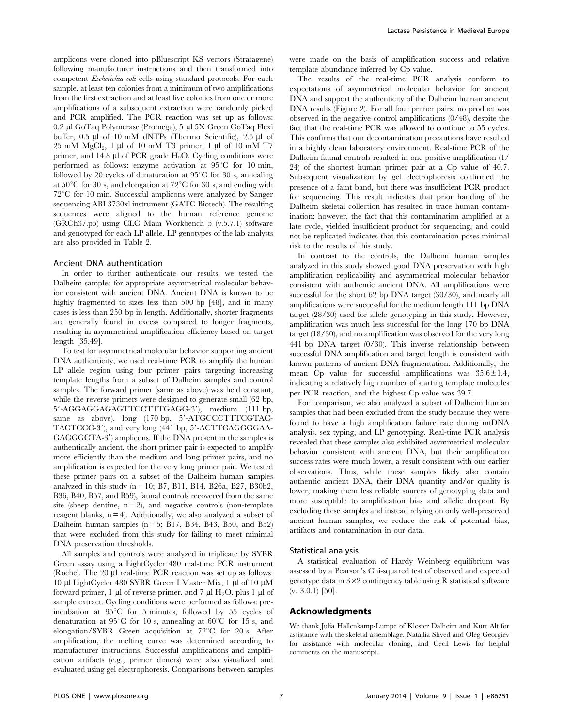amplicons were cloned into pBluescript KS vectors (Stratagene) following manufacturer instructions and then transformed into competent Escherichia coli cells using standard protocols. For each sample, at least ten colonies from a minimum of two amplifications from the first extraction and at least five colonies from one or more amplifications of a subsequent extraction were randomly picked and PCR amplified. The PCR reaction was set up as follows: 0.2 ml GoTaq Polymerase (Promega), 5 ml 5X Green GoTaq Flexi buffer, 0.5 µl of 10 mM dNTPs (Thermo Scientific), 2.5 µl of  $25 \text{ mM } MgCl<sub>2</sub>$ , 1 µl of 10 mM T3 primer, 1 µl of 10 mM T7 primer, and 14.8  $\mu$ l of PCR grade H<sub>2</sub>O. Cycling conditions were performed as follows: enzyme activation at  $95^{\circ}$ C for 10 min, followed by 20 cycles of denaturation at  $95^{\circ}$ C for 30 s, annealing at  $50^{\circ}$ C for 30 s, and elongation at  $72^{\circ}$ C for 30 s, and ending with  $72^{\circ}$ C for 10 min. Successful amplicons were analyzed by Sanger sequencing ABI 3730xl instrument (GATC Biotech). The resulting sequences were aligned to the human reference genome (GRCh37.p5) using CLC Main Workbench 5 (v.5.7.1) software and genotyped for each LP allele. LP genotypes of the lab analysts are also provided in Table 2.

## Ancient DNA authentication

In order to further authenticate our results, we tested the Dalheim samples for appropriate asymmetrical molecular behavior consistent with ancient DNA. Ancient DNA is known to be highly fragmented to sizes less than 500 bp [48], and in many cases is less than 250 bp in length. Additionally, shorter fragments are generally found in excess compared to longer fragments, resulting in asymmetrical amplification efficiency based on target length [35,49].

To test for asymmetrical molecular behavior supporting ancient DNA authenticity, we used real-time PCR to amplify the human LP allele region using four primer pairs targeting increasing template lengths from a subset of Dalheim samples and control samples. The forward primer (same as above) was held constant, while the reverse primers were designed to generate small (62 bp, 5'-AGGAGGAGAGTTCCTTTGAGG-3'), medium (111 bp, same as above),  $long$   $(170 bp, 5' - ATGCCCTTTCGTAC-$ TACTCCC-3'), and very long (441 bp, 5'-ACTTCAGGGGAA-GAGGGCTA-3') amplicons. If the DNA present in the samples is authentically ancient, the short primer pair is expected to amplify more efficiently than the medium and long primer pairs, and no amplification is expected for the very long primer pair. We tested these primer pairs on a subset of the Dalheim human samples analyzed in this study ( $n = 10$ ; B7, B11, B14, B26a, B27, B30b2, B36, B40, B57, and B59), faunal controls recovered from the same site (sheep dentine,  $n = 2$ ), and negative controls (non-template reagent blanks,  $n = 4$ ). Additionally, we also analyzed a subset of Dalheim human samples  $(n = 5; B17, B34, B43, B50, and B52)$ that were excluded from this study for failing to meet minimal DNA preservation thresholds.

All samples and controls were analyzed in triplicate by SYBR Green assay using a LightCycler 480 real-time PCR instrument (Roche). The  $20 \mu l$  real-time PCR reaction was set up as follows: 10 µl LightCycler 480 SYBR Green I Master Mix, 1 µl of 10  $\mu$ M forward primer, 1  $\mu$ l of reverse primer, and 7  $\mu$ l H<sub>2</sub>O, plus 1  $\mu$ l of sample extract. Cycling conditions were performed as follows: preincubation at  $95^{\circ}C$  for 5 minutes, followed by 55 cycles of denaturation at  $95^{\circ}$ C for 10 s, annealing at  $60^{\circ}$ C for 15 s, and elongation/SYBR Green acquisition at  $72^{\circ}$ C for 20 s. After amplification, the melting curve was determined according to manufacturer instructions. Successful amplifications and amplification artifacts (e.g., primer dimers) were also visualized and evaluated using gel electrophoresis. Comparisons between samples

were made on the basis of amplification success and relative template abundance inferred by Cp value.

The results of the real-time PCR analysis conform to expectations of asymmetrical molecular behavior for ancient DNA and support the authenticity of the Dalheim human ancient DNA results (Figure 2). For all four primer pairs, no product was observed in the negative control amplifications (0/48), despite the fact that the real-time PCR was allowed to continue to 55 cycles. This confirms that our decontamination precautions have resulted in a highly clean laboratory environment. Real-time PCR of the Dalheim faunal controls resulted in one positive amplification (1/ 24) of the shortest human primer pair at a Cp value of 40.7. Subsequent visualization by gel electrophoresis confirmed the presence of a faint band, but there was insufficient PCR product for sequencing. This result indicates that prior handing of the Dalheim skeletal collection has resulted in trace human contamination; however, the fact that this contamination amplified at a late cycle, yielded insufficient product for sequencing, and could not be replicated indicates that this contamination poses minimal risk to the results of this study.

In contrast to the controls, the Dalheim human samples analyzed in this study showed good DNA preservation with high amplification replicability and asymmetrical molecular behavior consistent with authentic ancient DNA. All amplifications were successful for the short 62 bp DNA target (30/30), and nearly all amplifications were successful for the medium length 111 bp DNA target (28/30) used for allele genotyping in this study. However, amplification was much less successful for the long 170 bp DNA target (18/30), and no amplification was observed for the very long 441 bp DNA target (0/30). This inverse relationship between successful DNA amplification and target length is consistent with known patterns of ancient DNA fragmentation. Additionally, the mean Cp value for successful amplifications was  $35.6 \pm 1.4$ , indicating a relatively high number of starting template molecules per PCR reaction, and the highest Cp value was 39.7.

For comparison, we also analyzed a subset of Dalheim human samples that had been excluded from the study because they were found to have a high amplification failure rate during mtDNA analysis, sex typing, and LP genotyping. Real-time PCR analysis revealed that these samples also exhibited asymmetrical molecular behavior consistent with ancient DNA, but their amplification success rates were much lower, a result consistent with our earlier observations. Thus, while these samples likely also contain authentic ancient DNA, their DNA quantity and/or quality is lower, making them less reliable sources of genotyping data and more susceptible to amplification bias and allelic dropout. By excluding these samples and instead relying on only well-preserved ancient human samples, we reduce the risk of potential bias, artifacts and contamination in our data.

#### Statistical analysis

A statistical evaluation of Hardy Weinberg equilibrium was assessed by a Pearson's Chi-squared test of observed and expected genotype data in  $3\times2$  contingency table using R statistical software (v. 3.0.1) [50].

## Acknowledgments

We thank Julia Hallenkamp-Lumpe of Kloster Dalheim and Kurt Alt for assistance with the skeletal assemblage, Natallia Shved and Oleg Georgiev for assistance with molecular cloning, and Cecil Lewis for helpful comments on the manuscript.